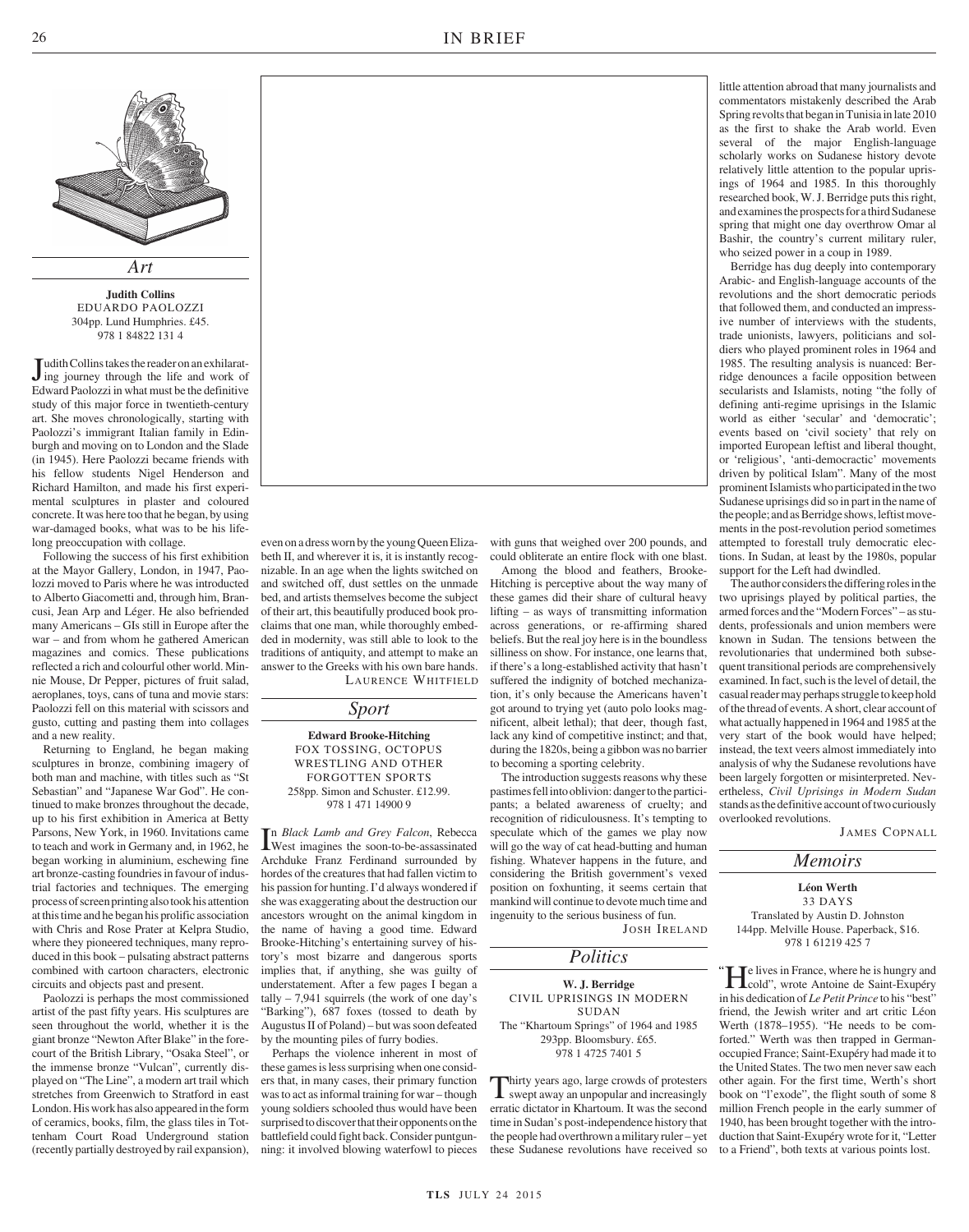

**Judith Collins** EDUARDO PAOLOZZI 304pp. Lund Humphries. £45. 978 1 84822 131 4

Judith Collins takes the reader on an exhilarat-<br>ing journey through the life and work of ing journey through the life and work of Edward Paolozzi in what must be the definitive study of this major force in twentieth-century art. She moves chronologically, starting with Paolozzi's immigrant Italian family in Edinburgh and moving on to London and the Slade (in 1945). Here Paolozzi became friends with his fellow students Nigel Henderson and Richard Hamilton, and made his first experimental sculptures in plaster and coloured concrete. It was here too that he began, by using war-damaged books, what was to be his lifelong preoccupation with collage.

Following the success of his first exhibition at the Mayor Gallery, London, in 1947, Paolozzi moved to Paris where he was introducted to Alberto Giacometti and, through him, Brancusi, Jean Arp and Léger. He also befriended many Americans – GIs still in Europe after the war – and from whom he gathered American magazines and comics. These publications reflected a rich and colourful other world. Minnie Mouse, Dr Pepper, pictures of fruit salad, aeroplanes, toys, cans of tuna and movie stars: Paolozzi fell on this material with scissors and gusto, cutting and pasting them into collages and a new reality.

Returning to England, he began making sculptures in bronze, combining imagery of both man and machine, with titles such as "St Sebastian" and "Japanese War God". He continued to make bronzes throughout the decade, up to his first exhibition in America at Betty Parsons, New York, in 1960. Invitations came to teach and work in Germany and, in 1962, he began working in aluminium, eschewing fine art bronze-casting foundries in favour of industrial factories and techniques. The emerging process of screen printing also took his attention at this time and he began his prolific association with Chris and Rose Prater at Kelpra Studio, where they pioneered techniques, many reproduced in this book – pulsating abstract patterns combined with cartoon characters, electronic circuits and objects past and present.

Paolozzi is perhaps the most commissioned artist of the past fifty years. His sculptures are seen throughout the world, whether it is the giant bronze "Newton After Blake" in the forecourt of the British Library, "Osaka Steel", or the immense bronze "Vulcan", currently displayed on "The Line", a modern art trail which stretches from Greenwich to Stratford in east London. His work has also appeared in the form of ceramics, books, film, the glass tiles in Tottenham Court Road Underground station (recently partially destroyed by rail expansion),

even on a dress worn by the young Queen Elizabeth II, and wherever it is, it is instantly recognizable. In an age when the lights switched on and switched off, dust settles on the unmade bed, and artists themselves become the subject of their art, this beautifully produced book proclaims that one man, while thoroughly embedded in modernity, was still able to look to the traditions of antiquity, and attempt to make an answer to the Greeks with his own bare hands. LAURENCE WHITFIELD

*Sport*

**Edward Brooke-Hitching** FOX TOSSING, OCTOPUS WRESTLING AND OTHER FORGOTTEN SPORTS 258pp. Simon and Schuster. £12.99. 978 1 471 14900 9

In Black Lamb and Grey Falcon, Rebecca<br>West imagines the soon-to-be-assassinated<br>Archibility Francy Fordinand aumenum and have n *Black Lamb and Grey Falcon*, Rebecca Archduke Franz Ferdinand surrounded by hordes of the creatures that had fallen victim to his passion for hunting. I'd always wondered if she was exaggerating about the destruction our ancestors wrought on the animal kingdom in the name of having a good time. Edward Brooke-Hitching's entertaining survey of history's most bizarre and dangerous sports implies that, if anything, she was guilty of understatement. After a few pages I began a tally  $-7,941$  squirrels (the work of one day's 'Barking"), 687 foxes (tossed to death by Augustus II of Poland) – but was soon defeated by the mounting piles of furry bodies.

Perhaps the violence inherent in most of these games is less surprising when one considers that, in many cases, their primary function was to act as informal training for war – though young soldiers schooled thus would have been surprised to discover that their opponents on the battlefield could fight back. Consider puntgunning: it involved blowing waterfowl to pieces

with guns that weighed over 200 pounds, and could obliterate an entire flock with one blast.

Among the blood and feathers, Brooke-Hitching is perceptive about the way many of these games did their share of cultural heavy lifting – as ways of transmitting information across generations, or re-affirming shared beliefs. But the real joy here is in the boundless silliness on show. For instance, one learns that, if there's a long-established activity that hasn't suffered the indignity of botched mechanization, it's only because the Americans haven't got around to trying yet (auto polo looks magnificent, albeit lethal); that deer, though fast, lack any kind of competitive instinct; and that, during the 1820s, being a gibbon was no barrier to becoming a sporting celebrity.

The introduction suggests reasons why these pastimes fell into oblivion: danger to the participants; a belated awareness of cruelty; and recognition of ridiculousness. It's tempting to speculate which of the games we play now will go the way of cat head-butting and human fishing. Whatever happens in the future, and considering the British government's vexed position on foxhunting, it seems certain that mankind will continue to devote much time and ingenuity to the serious business of fun.

JOSH IRELAND

### *Politics*

**W. J. Berridge** CIVIL UPRISINGS IN MODERN SUDAN The "Khartoum Springs" of 1964 and 1985 293pp. Bloomsbury. £65. 978 1 4725 7401 5

Thirty years ago, large crowds of protesters<br>swept away an unpopular and increasingly<br>erratic dictator in Khartoum. It was the second hirty years ago, large crowds of protesters swept away an unpopular and increasingly time in Sudan's post-independence history that the people had overthrown a military ruler – yet these Sudanese revolutions have received so

little attention abroad that many journalists and commentators mistakenly described the Arab Spring revolts that began in Tunisia in late 2010 as the first to shake the Arab world. Even several of the major English-language scholarly works on Sudanese history devote relatively little attention to the popular uprisings of 1964 and 1985. In this thoroughly researched book, W. J. Berridge puts this right, and examines the prospects for a third Sudanese spring that might one day overthrow Omar al Bashir, the country's current military ruler, who seized power in a coup in 1989.

Berridge has dug deeply into contemporary Arabic- and English-language accounts of the revolutions and the short democratic periods that followed them, and conducted an impressive number of interviews with the students, trade unionists, lawyers, politicians and soldiers who played prominent roles in 1964 and 1985. The resulting analysis is nuanced: Berridge denounces a facile opposition between secularists and Islamists, noting "the folly of defining anti-regime uprisings in the Islamic world as either 'secular' and 'democratic'; events based on 'civil society' that rely on imported European leftist and liberal thought, or 'religious', 'anti-democractic' movements driven by political Islam". Many of the most prominent Islamists who participated in the two Sudanese uprisings did so in part in the name of the people; and as Berridge shows, leftist movements in the post-revolution period sometimes attempted to forestall truly democratic elections. In Sudan, at least by the 1980s, popular support for the Left had dwindled.

The author considers the differing roles in the two uprisings played by political parties, the armed forces and the "Modern Forces" – as students, professionals and union members were known in Sudan. The tensions between the revolutionaries that undermined both subsequent transitional periods are comprehensively examined. In fact, such is the level of detail, the casual reader may perhaps struggle to keep hold of the thread of events. A short, clear account of what actually happened in 1964 and 1985 at the very start of the book would have helped; instead, the text veers almost immediately into analysis of why the Sudanese revolutions have been largely forgotten or misinterpreted. Nevertheless, *Civil Uprisings in Modern Sudan* stands as the definitive account of two curiously overlooked revolutions.

JAMES COPNALL

#### **Léon Werth** 33 DAYS

*Memoirs*

Translated by Austin D. Johnston 144pp. Melville House. Paperback, \$16. 978 1 61219 425 7

 $\prod$ e lives in France, where he is hungry and<br>cold", wrote Antoine de Saint-Exupéry cold", wrote Antoine de Saint-Exupéry in his dedication of *Le Petit Prince* to his "best" friend, the Jewish writer and art critic Léon Werth (1878–1955). "He needs to be comforted." Werth was then trapped in Germanoccupied France; Saint-Exupéry had made it to the United States. The two men never saw each other again. For the first time, Werth's short book on "l'exode", the flight south of some 8 million French people in the early summer of 1940, has been brought together with the introduction that Saint-Exupéry wrote for it, "Letter to a Friend", both texts at various points lost.